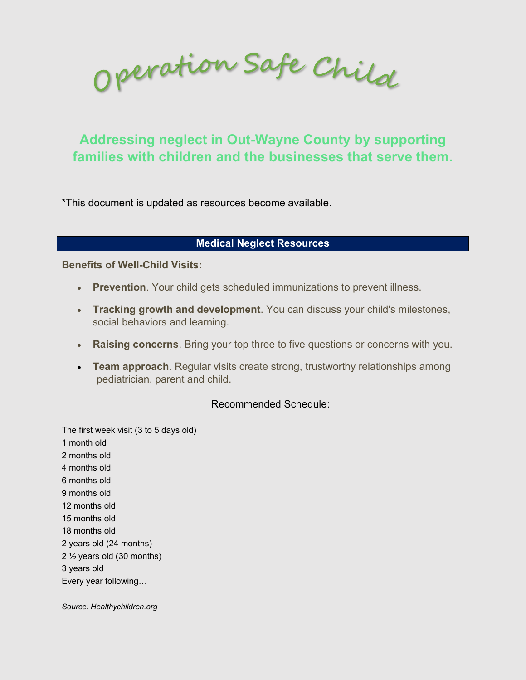Operation Safe Child

# **Addressing neglect in Out-Wayne County by supporting families with children and the businesses that serve them.**

\*This document is updated as resources become available.

### **Medical Neglect Resources**

**Benefits of Well-Child Visits:**

- **Prevention**. Your child gets scheduled immunizations to prevent illness.
- **Tracking growth and development**. You can discuss your child's milestones, social behaviors and learning.
- **Raising concerns**. Bring your top three to five questions or concerns with you.
- **Team approach**. Regular visits create strong, trustworthy relationships among pediatrician, parent and child.

#### Recommended Schedule:

The first week visit (3 to 5 days old) 1 month old 2 months old 4 months old 6 months old 9 months old 12 months old 15 months old 18 months old 2 years old (24 months) 2 ½ years old (30 months) 3 years old Every year following…

*Source: Healthychildren.org*